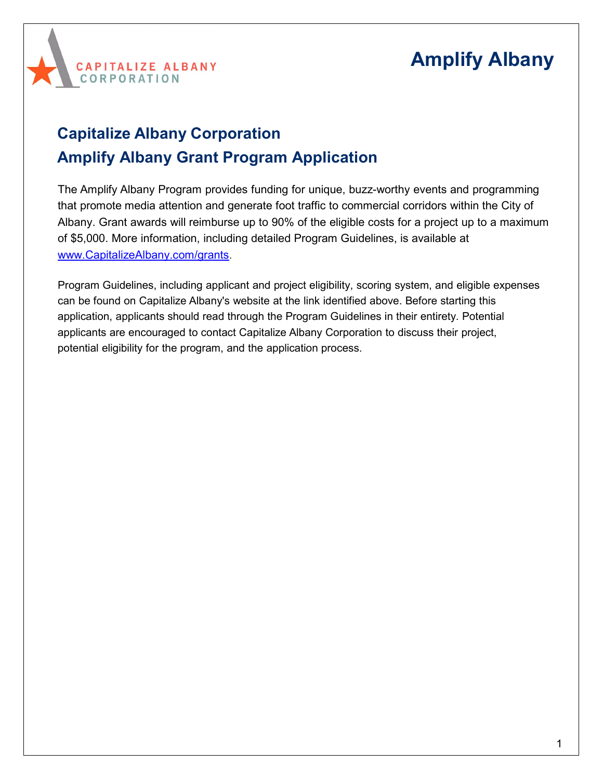

## **Capitalize Albany Corporation Amplify Albany Grant Program Application**

The Amplify Albany Program provides funding for unique, buzz-worthy events and programming that promote media attention and generate foot traffic to commercial corridors within the City of Albany. Grant awards will reimburse up to 90% of the eligible costs for a project up to a maximum of \$5,000. More information, including detailed Program Guidelines, is available at [www.CapitalizeAlbany.com/grants.](http://www.capitalizealbany.com/grants)

Program Guidelines, including applicant and project eligibility, scoring system, and eligible expenses can be found on Capitalize Albany's website at the link identified above. Before starting this application, applicants should read through the Program Guidelines in their entirety. Potential applicants are encouraged to contact Capitalize Albany Corporation to discuss their project, potential eligibility for the program, and the application process.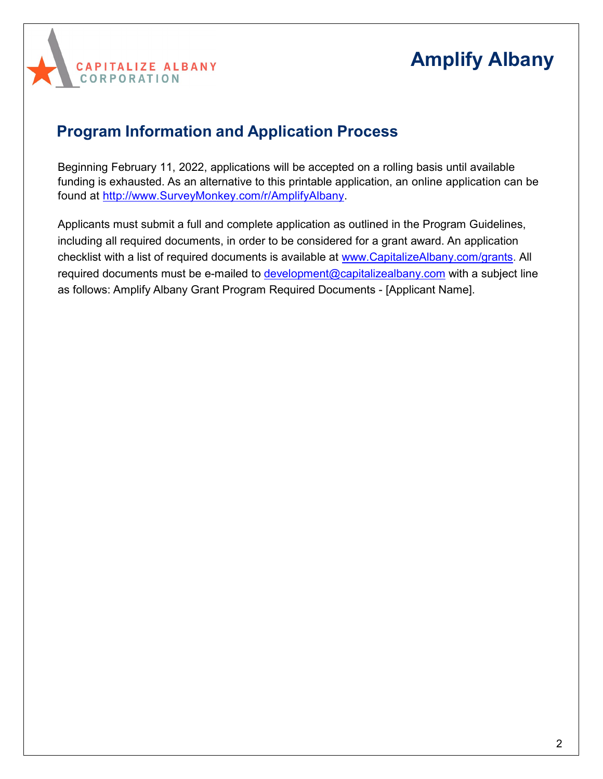

### **Program Information and Application Process**

Beginning February 11, 2022, applications will be accepted on a rolling basis until available funding is exhausted. As an alternative to this printable application, an online application can be found at [http://www.SurveyMonkey.com/r/AmplifyAlbany.](http://www.surveymonkey.com/r/AmplifyAlbany)

Applicants must submit a full and complete application as outlined in the Program Guidelines, including all required documents, in order to be considered for a grant award. An application checklist with a list of required documents is available at [www.CapitalizeAlbany.com/grants.](http://www.capitalizealbany.com/grants) All required documents must be e-mailed to [development@capitalizealbany.com](mailto:development@capitalizealbany.com) with a subject line as follows: Amplify Albany Grant Program Required Documents - [Applicant Name].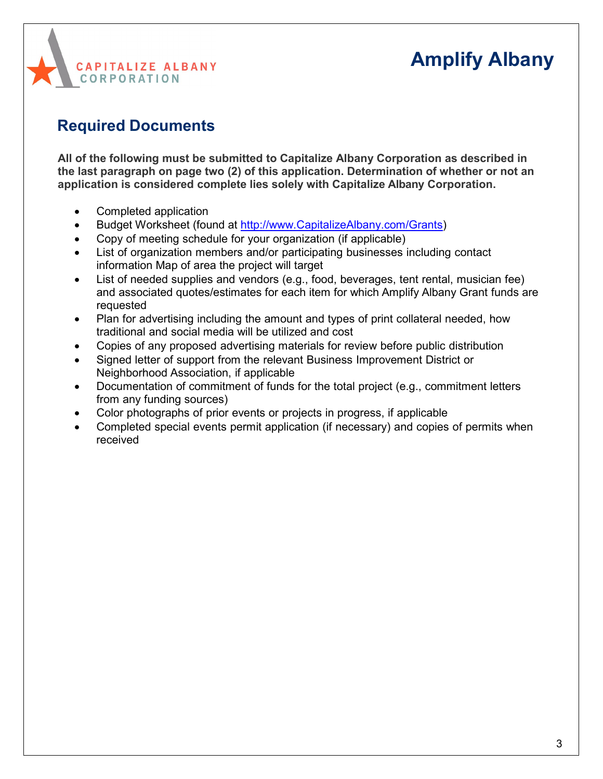# **CAPITALIZE ALBANY CORPORATION**

## **Amplify Albany**

## **Required Documents**

**All of the following must be submitted to Capitalize Albany Corporation as described in the last paragraph on page two (2) of this application. Determination of whether or not an application is considered complete lies solely with Capitalize Albany Corporation.**

- Completed application
- Budget Worksheet (found at [http://www.CapitalizeAlbany.com/Grants\)](http://www.capitalizealbany.com/Grants)
- Copy of meeting schedule for your organization (if applicable)
- List of organization members and/or participating businesses including contact information Map of area the project will target
- List of needed supplies and vendors (e.g., food, beverages, tent rental, musician fee) and associated quotes/estimates for each item for which Amplify Albany Grant funds are requested
- Plan for advertising including the amount and types of print collateral needed, how traditional and social media will be utilized and cost
- Copies of any proposed advertising materials for review before public distribution
- Signed letter of support from the relevant Business Improvement District or Neighborhood Association, if applicable
- Documentation of commitment of funds for the total project (e.g., commitment letters from any funding sources)
- Color photographs of prior events or projects in progress, if applicable
- Completed special events permit application (if necessary) and copies of permits when received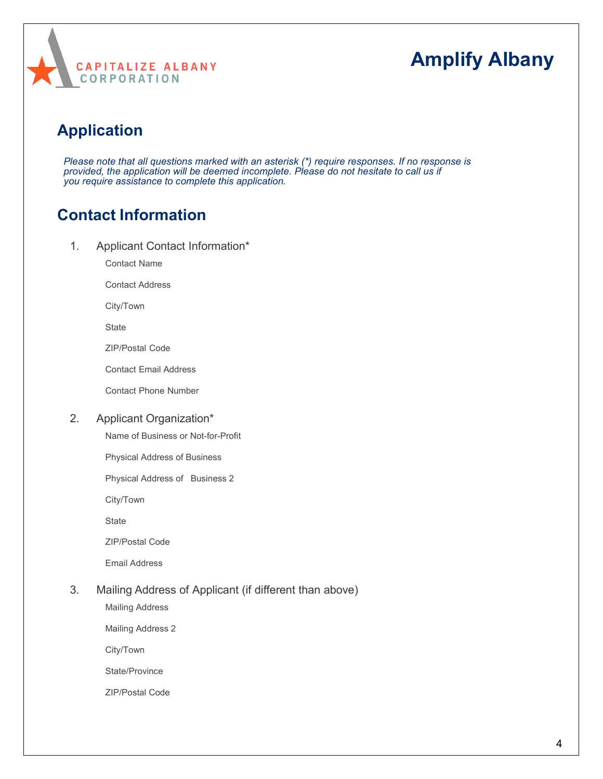

### **Application**

*Please note that all questions marked with an asterisk (\*) require responses. If no response is provided, the application will be deemed incomplete. Please do not hesitate to call us if you require assistance to complete this application.*

#### **Contact Information**

1. Applicant Contact Information\*

Contact Name

Contact Address

City/Town

**State** 

ZIP/Postal Code

Contact Email Address

Contact Phone Number

#### 2. Applicant Organization\*

Name of Business or Not-for-Profit

Physical Address of Business

Physical Address of Business 2

City/Town

**State** 

ZIP/Postal Code

Email Address

#### 3. Mailing Address of Applicant (if different than above)

Mailing Address

Mailing Address 2

City/Town

State/Province

ZIP/Postal Code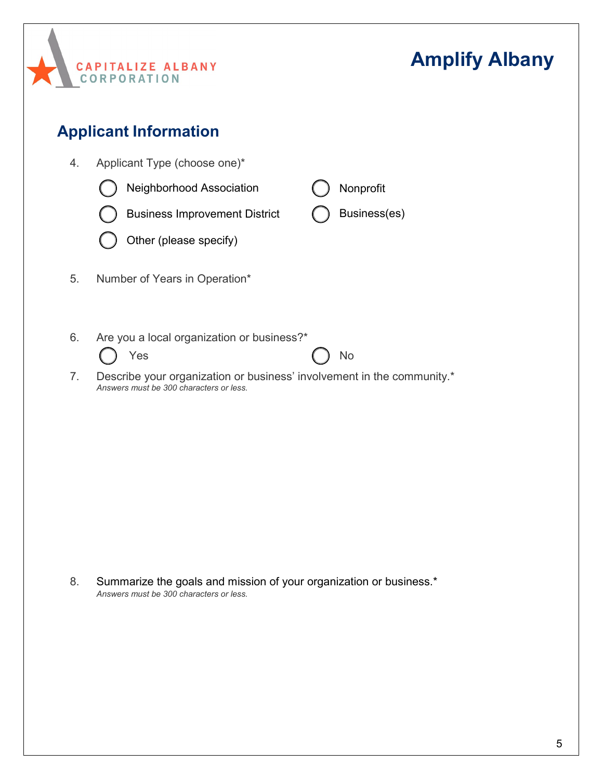

8. Summarize the goals and mission of your organization or business.\* *Answers must be 300 characters or less.*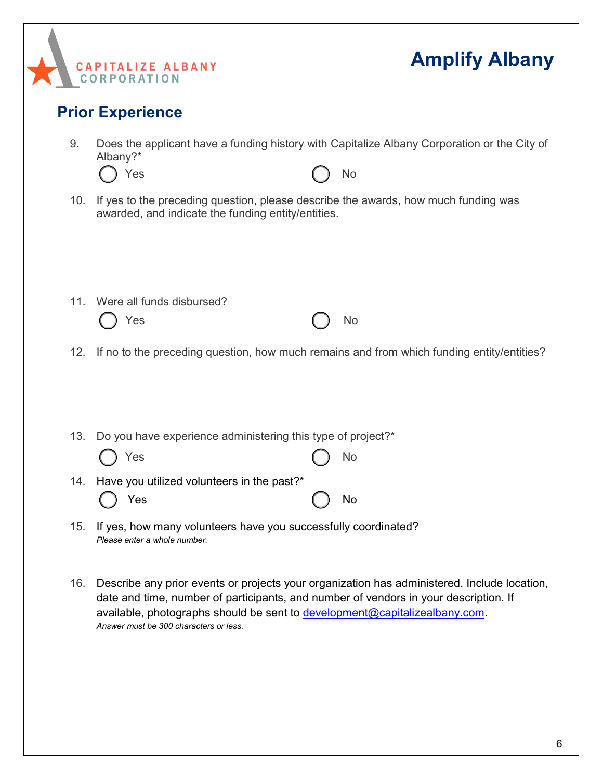

- 12. If no to the preceding question, how much remains and from which funding entity/entities?
- 13. Do you have experience administering this type of project?\* 14. Have you utilized volunteers in the past?\* Yes ( ) No Yes ( ) No
- 15. If yes, how many volunteers have you successfully coordinated? *Please enter a whole number.*
- 16. Describe any prior events or projects your organization has administered. Include location, date and time, number of participants, and number of vendors in your description. If available, photographs should be sent to [development@capitalizealbany.com.](mailto:development@capitalizealbany.com) *Answer must be 300 characters or less.*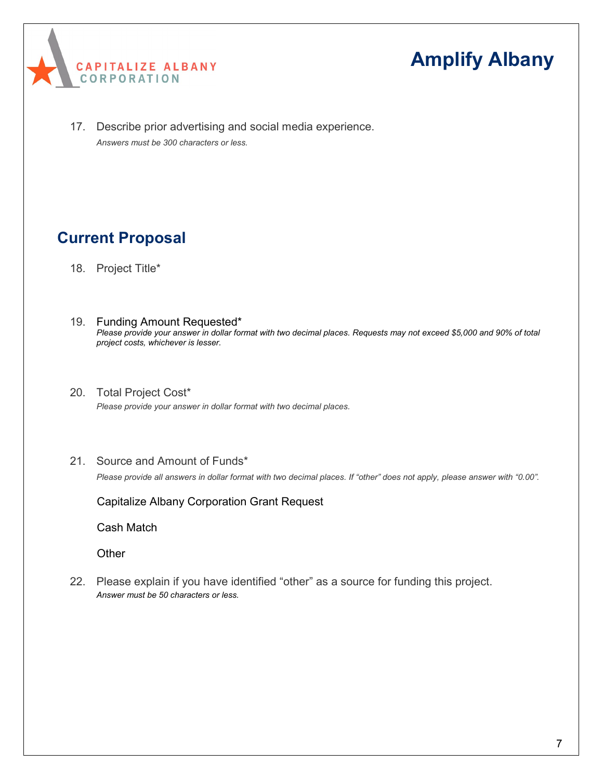

17. Describe prior advertising and social media experience. *Answers must be 300 characters or less.*

### **Current Proposal**

- 18. Project Title\*
- 19. Funding Amount Requested\* *Please provide your answer in dollar format with two decimal places. Requests may not exceed \$5,000 and 90% of total project costs, whichever is lesser.*
- 20. Total Project Cost\* *Please provide your answer in dollar format with two decimal places.*
- 21. Source and Amount of Funds\*

*Please provide all answers in dollar format with two decimal places. If "other" does not apply, please answer with "0.00".*

Capitalize Albany Corporation Grant Request

Cash Match

**Other** 

22. Please explain if you have identified "other" as a source for funding this project. *Answer must be 50 characters or less.*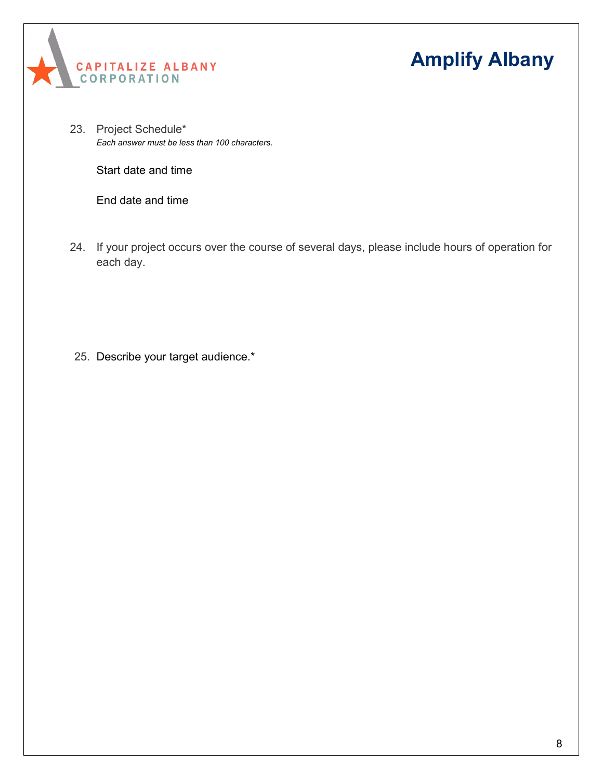



23. Project Schedule\* *Each answer must be less than 100 characters.*

Start date and time

End date and time

24. If your project occurs over the course of several days, please include hours of operation for each day.

25. Describe your target audience.\*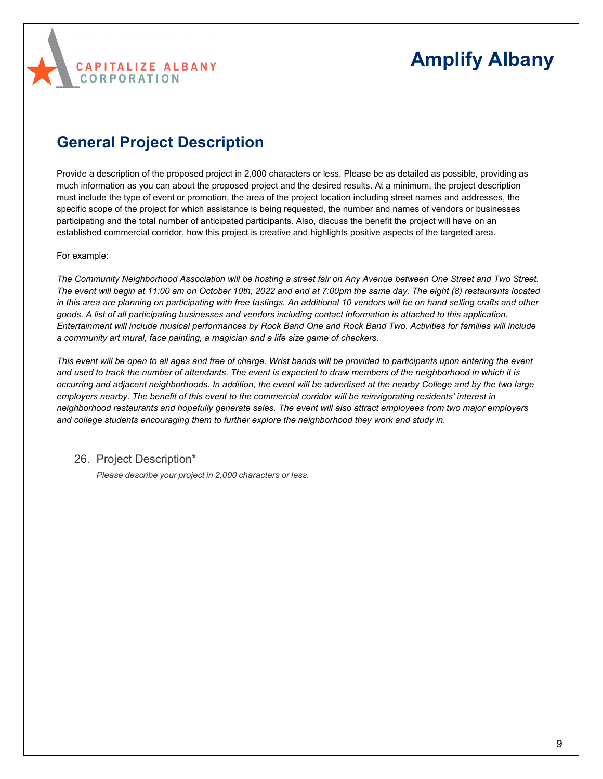

#### **General Project Description**

Provide a description of the proposed project in 2,000 characters or less. Please be as detailed as possible, providing as much information as you can about the proposed project and the desired results. At a minimum, the project description must include the type of event or promotion, the area of the project location including street names and addresses, the specific scope of the project for which assistance is being requested, the number and names of vendors or businesses participating and the total number of anticipated participants. Also, discuss the benefit the project will have on an established commercial corridor, how this project is creative and highlights positive aspects of the targeted area.

#### For example:

*The Community Neighborhood Association will be hosting a street fair on Any Avenue between One Street and Two Street. The event will begin at 11:00 am on October 10th, 2022 and end at 7:00pm the same day. The eight (8) restaurants located*  in this area are planning on participating with free tastings. An additional 10 vendors will be on hand selling crafts and other *goods. A list of all participating businesses and vendors including contact information is attached to this application. Entertainment will include musical performances by Rock Band One and Rock Band Two. Activities for families will include a community art mural, face painting, a magician and a life size game of checkers.*

*This event will be open to all ages and free of charge. Wrist bands will be provided to participants upon entering the event and used to track the number of attendants. The event is expected to draw members of the neighborhood in which it is occurring and adjacent neighborhoods. In addition, the event will be advertised at the nearby College and by the two large employers nearby. The benefit of this event to the commercial corridor will be reinvigorating residents' interest in neighborhood restaurants and hopefully generate sales. The event will also attract employees from two major employers and college students encouraging them to further explore the neighborhood they work and study in.*

26. Project Description\*

*Please describe your project in 2,000 characters or less.*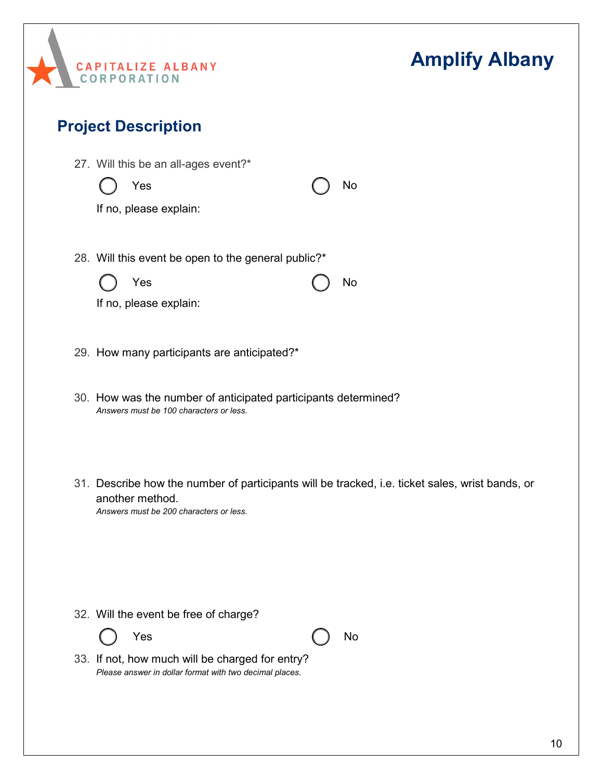

#### **Project Description**

27. Will this be an all-ages event?\*

Yes ( ) No

28. Will this event be open to the general public?\*



Yes ( ) No

If no, please explain:

- 29. How many participants are anticipated?\*
- 30. How was the number of anticipated participants determined? *Answers must be 100 characters or less.*
- 31. Describe how the number of participants will be tracked, i.e. ticket sales, wrist bands, or another method.

*Answers must be 200 characters or less.*

32. Will the event be free of charge?



Yes ( ) No

33. If not, how much will be charged for entry? *Please answer in dollar format with two decimal places.*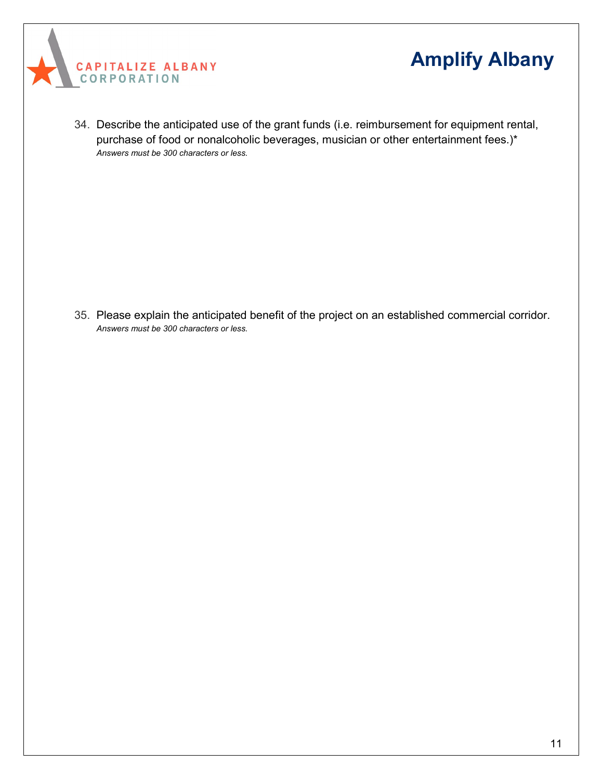



34. Describe the anticipated use of the grant funds (i.e. reimbursement for equipment rental, purchase of food or nonalcoholic beverages, musician or other entertainment fees.)\* *Answers must be 300 characters or less.*

35. Please explain the anticipated benefit of the project on an established commercial corridor. *Answers must be 300 characters or less.*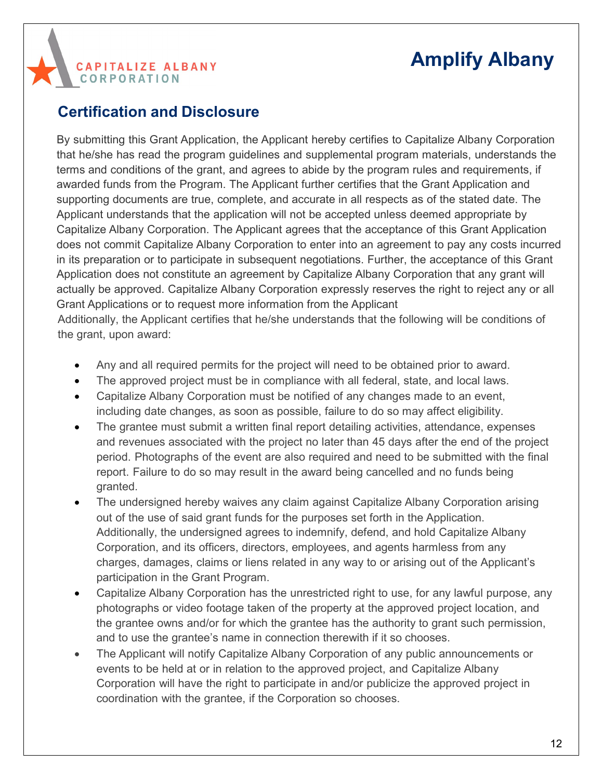#### **Certification and Disclosure**

**CAPITALIZE ALBANY** 

**CORPORATION** 

By submitting this Grant Application, the Applicant hereby certifies to Capitalize Albany Corporation that he/she has read the program guidelines and supplemental program materials, understands the terms and conditions of the grant, and agrees to abide by the program rules and requirements, if awarded funds from the Program. The Applicant further certifies that the Grant Application and supporting documents are true, complete, and accurate in all respects as of the stated date. The Applicant understands that the application will not be accepted unless deemed appropriate by Capitalize Albany Corporation. The Applicant agrees that the acceptance of this Grant Application does not commit Capitalize Albany Corporation to enter into an agreement to pay any costs incurred in its preparation or to participate in subsequent negotiations. Further, the acceptance of this Grant Application does not constitute an agreement by Capitalize Albany Corporation that any grant will actually be approved. Capitalize Albany Corporation expressly reserves the right to reject any or all Grant Applications or to request more information from the Applicant Additionally, the Applicant certifies that he/she understands that the following will be conditions of

the grant, upon award:

- Any and all required permits for the project will need to be obtained prior to award.
- The approved project must be in compliance with all federal, state, and local laws.
- Capitalize Albany Corporation must be notified of any changes made to an event, including date changes, as soon as possible, failure to do so may affect eligibility.
- The grantee must submit a written final report detailing activities, attendance, expenses and revenues associated with the project no later than 45 days after the end of the project period. Photographs of the event are also required and need to be submitted with the final report. Failure to do so may result in the award being cancelled and no funds being granted.
- The undersigned hereby waives any claim against Capitalize Albany Corporation arising out of the use of said grant funds for the purposes set forth in the Application. Additionally, the undersigned agrees to indemnify, defend, and hold Capitalize Albany Corporation, and its officers, directors, employees, and agents harmless from any charges, damages, claims or liens related in any way to or arising out of the Applicant's participation in the Grant Program.
- Capitalize Albany Corporation has the unrestricted right to use, for any lawful purpose, any photographs or video footage taken of the property at the approved project location, and the grantee owns and/or for which the grantee has the authority to grant such permission, and to use the grantee's name in connection therewith if it so chooses.
- The Applicant will notify Capitalize Albany Corporation of any public announcements or events to be held at or in relation to the approved project, and Capitalize Albany Corporation will have the right to participate in and/or publicize the approved project in coordination with the grantee, if the Corporation so chooses.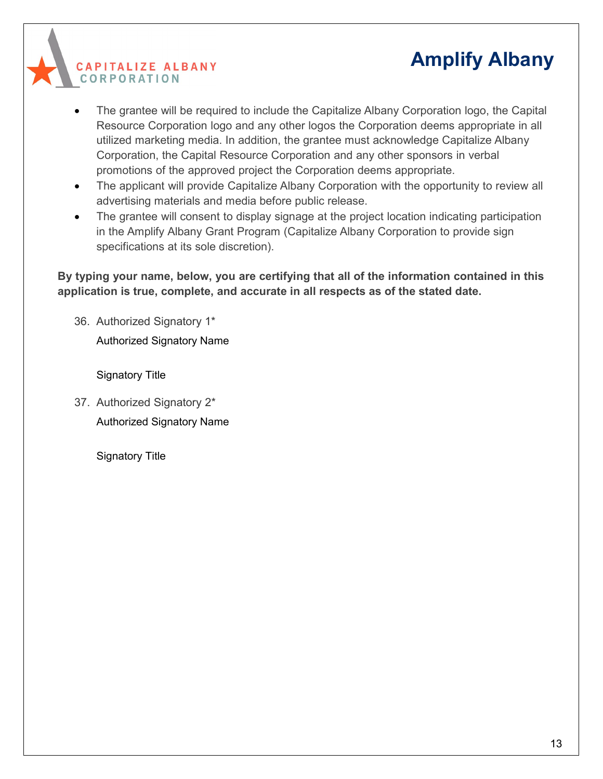**CAPITALIZE ALBANY CORPORATION** 

- The grantee will be required to include the Capitalize Albany Corporation logo, the Capital Resource Corporation logo and any other logos the Corporation deems appropriate in all utilized marketing media. In addition, the grantee must acknowledge Capitalize Albany Corporation, the Capital Resource Corporation and any other sponsors in verbal promotions of the approved project the Corporation deems appropriate.
- The applicant will provide Capitalize Albany Corporation with the opportunity to review all advertising materials and media before public release.
- The grantee will consent to display signage at the project location indicating participation in the Amplify Albany Grant Program (Capitalize Albany Corporation to provide sign specifications at its sole discretion).

**By typing your name, below, you are certifying that all of the information contained in this application is true, complete, and accurate in all respects as of the stated date.**

36. Authorized Signatory 1\*

Authorized Signatory Name

Signatory Title

37. Authorized Signatory 2\* Authorized Signatory Name

Signatory Title